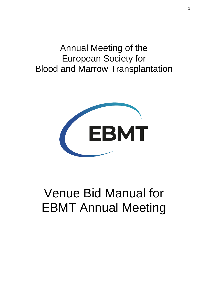## Annual Meeting of the European Society for Blood and Marrow Transplantation



# Venue Bid Manual for EBMT Annual Meeting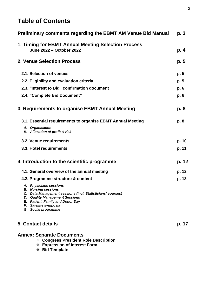### **Table of Contents**

| <b>Preliminary comments regarding the EBMT AM Venue Bid Manual</b>                                                                                                                                                                              | p.3   |
|-------------------------------------------------------------------------------------------------------------------------------------------------------------------------------------------------------------------------------------------------|-------|
| 1. Timing for EBMT Annual Meeting Selection Process<br>June 2022 - October 2022                                                                                                                                                                 | p. 4  |
| 2. Venue Selection Process                                                                                                                                                                                                                      | p. 5  |
| 2.1. Selection of venues                                                                                                                                                                                                                        | p. 5  |
| 2.2. Eligibility and evaluation criteria                                                                                                                                                                                                        | p. 5  |
| 2.3. "Interest to Bid" confirmation document                                                                                                                                                                                                    | p. 6  |
| 2.4. "Complete Bid Document"                                                                                                                                                                                                                    | p. 6  |
| 3. Requirements to organise EBMT Annual Meeting                                                                                                                                                                                                 | p. 8  |
| 3.1. Essential requirements to organise EBMT Annual Meeting                                                                                                                                                                                     | p. 8  |
| A. Organisation<br><b>B.</b> Allocation of profit & risk                                                                                                                                                                                        |       |
| 3.2. Venue requirements                                                                                                                                                                                                                         | p. 10 |
| 3.3. Hotel requirements                                                                                                                                                                                                                         | p. 11 |
| 4. Introduction to the scientific programme                                                                                                                                                                                                     | p. 12 |
| 4.1. General overview of the annual meeting                                                                                                                                                                                                     | p. 12 |
| 4.2. Programme structure & content                                                                                                                                                                                                              | p. 13 |
| A. Physicians sessions<br><b>B.</b> Nursing sessions<br>C. Data Management sessions (incl. Statisticians' courses)<br><b>D.</b> Quality Management Sessions<br>E. Patient, Family and Donor Day<br>F. Satellite symposia<br>G. Social programme |       |
| 5. Contact details                                                                                                                                                                                                                              | p. 17 |
| <b>Annex: Separate Documents</b><br>❖ Congress President Role Description<br>❖ Expression of Interest Form<br>❖ Bid Template                                                                                                                    |       |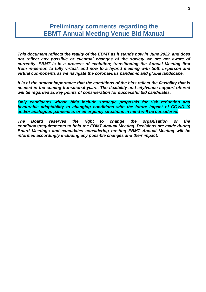### **Preliminary comments regarding the EBMT Annual Meeting Venue Bid Manual**

*This document reflects the reality of the EBMT as it stands now in June 2022, and does*  not reflect any possible or eventual changes of the society we are not aware of *currently. EBMT is in a process of evolution; transitioning the Annual Meeting first from in-person to fully virtual, and now to a hybrid meeting with both in-person and virtual components as we navigate the coronavirus pandemic and global landscape.*

*It is of the utmost importance that the conditions of the bids reflect the flexibility that is needed in the coming transitional years. The flexibility and city/venue support offered will be regarded as key points of consideration for successful bid candidates.*

*Only candidates whose bids include strategic proposals for risk reduction and favourable adaptability to changing conditions with the future impact of COVID-19 and/or analogous pandemics or emergency situations in mind will be considered.*

*The Board reserves the right to change the organisation or the conditions/requirements to hold the EBMT Annual Meeting. Decisions are made during Board Meetings and candidates considering hosting EBMT Annual Meeting will be informed accordingly including any possible changes and their impact.*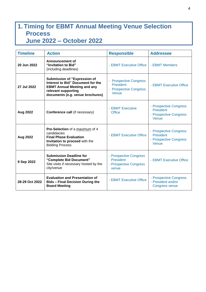## **1. Timing for EBMT Annual Meeting Venue Selection Process June 2022 – October 2022**

| <b>Timeline</b> | <b>Action</b>                                                                                                                                                      | <b>Responsible</b>                                                          | <b>Addressee</b>                                                              |
|-----------------|--------------------------------------------------------------------------------------------------------------------------------------------------------------------|-----------------------------------------------------------------------------|-------------------------------------------------------------------------------|
| 20 Jun 2022     | <b>Announcement of</b><br>"Invitation to Bid"<br>(including deadlines)                                                                                             | - EBMT Executive Office                                                     | - EBMT Members                                                                |
| 27 Jul 2022     | Submission of "Expression of<br>Interest to Bid" Document for the<br><b>EBMT Annual Meeting and any</b><br>relevant supporting<br>documents (e.g. venue brochures) | <b>Prospective Congress</b><br>President<br>- Prospective Congress<br>Venue | - EBMT Executive Office                                                       |
| Aug 2022        | Conference call (if necessary)                                                                                                                                     | - EBMT Executive<br><b>Office</b>                                           | - Prospective Congress<br>President<br>- Prospective Congress<br>Venue        |
| <b>Aug 2022</b> | Pre-Selection of a maximum of 4<br>candidacies<br><b>Final Phase Evaluation</b><br>Invitation to proceed with the<br><b>Bidding Process</b>                        | - EBMT Executive Office                                                     | - Prospective Congress<br><b>President</b><br>- Prospective Congress<br>Venue |
| 9 Sep 2022      | <b>Submission Deadline for</b><br>"Complete Bid Document"<br>Site visits if necessary hosted by the<br>city/venue                                                  | - Prospective Congress<br>President<br>- Prospective Congress<br>venue      | - EBMT Executive Office                                                       |
| 28-29 Oct 2022  | <b>Evaluation and Presentation of</b><br><b>Bids - Final Decision During the</b><br><b>Board Meeting</b>                                                           | - EBMT Executive Office                                                     | - Prospective Congress<br>- President and/or<br>Congress venue                |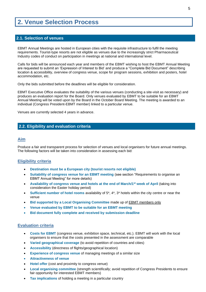### **2. Venue Selection Process**

#### **2.1. Selection of venues**

EBMT Annual Meetings are hosted in European cities with the requisite infrastructure to fulfil the meeting requirements. Tourist-type resorts are not eligible as venues due to the increasingly strict Pharmaceutical Industry codes of conduct on participation in meetings at national and international level.

Calls for bids will be announced each year and members of the EBMT wishing to host the EBMT Annual Meeting are requested to submit an 'Expression of Interest to Bid' and produce a "Complete Bid Document" describing location & accessibility, overview of congress venue, scope for program sessions, exhibition and posters, hotel accommodation, etc.

Only the bids submitted before the deadlines will be eligible for consideration.

EBMT Executive Office evaluates the suitability of the various venues (conducting a site-visit as necessary) and produces an evaluation report for the Board. Only venues evaluated by EBMT to be suitable for an EBMT Annual Meeting will be voted upon by the Board in the October Board Meeting. The meeting is awarded to an individual (Congress President-EBMT member) linked to a particular venue.

Venues are currently selected 4 years in advance.

#### **2.2. Eligibility and evaluation criteria**

#### **Aim**

Produce a fair and transparent process for selection of venues and local organisers for future annual meetings. The following factors will be taken into consideration in assessing each bid:

#### **Eligibility criteria**

- **Destination must be a European city (tourist resorts not eligible)**
- **Suitability of congress venue for an EBMT meeting** (see section "Requirements to organise an EBMT Annual Meeting" for more details)
- **Availability of congress venue and hotels at the end of March/1<sup>st</sup> week of April (taking into** consideration the Easter holiday period)
- **Sufficient number of hotel rooms** availability of 5\*, 4\*, 3\* hotels within the city centre or near the venue
- **Bid supported by a Local Organising Committee** made up of EBMT members only
- **Venue evaluated by EBMT to be suitable for an EBMT meeting**
- **Bid document fully complete and received by submission deadline**

#### **Evaluation criteria**

- **Costs for EBMT** (congress venue, exhibition space, technical, etc.). EBMT will work with the local organisers to ensure that the costs presented in the assessment are comparable
- **Varied geographical coverage** (to avoid repetition of countries and cities)
- **Accessibility** (directness of flights/geographical location)
- **Experience of congress venue of managing meetings of a similar size**
- **Attractiveness of venue**
- **Hotel offer** (cost and proximity to congress venue)
- **Local organising committee** (strength scientifically; avoid repetition of Congress Presidents to ensure fair opportunity for interested EBMT members)
- **Tax implications** of holding a meeting in a particular country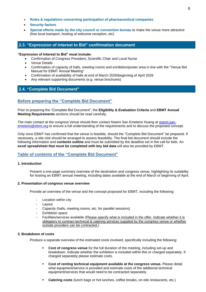- **Rules & regulations concerning participation of pharmaceutical companies**
- **Security factors**
- **Special efforts made by the city council or convention bureau** to make the venue more attractive (free local transport, hosting of welcome reception, etc)

#### **2.3. "Expression of Interest to Bid" confirmation document**

#### **"Expression of Interest to Bid" must include:**

- Confirmation of Congress President, Scientific Chair and Local Nurse
- Venue Details
- Confirmation of capacity of halls, meeting rooms and exhibition/poster area in line with the "Venue Bid Manual for EBMT Annual Meeting"
- Confirmation of availability of halls at end of March 2026/beginning of April 2026
- Any relevant supporting documents (e.g. venue brochures)

### **2.4. "Complete Bid Document"**

#### **Before preparing the "Complete Bid Document"**

Prior to preparing the "Complete Bid Document", the **Eligibility & Evaluation Criteria** and **EBMT Annual Meeting Requirements** sections should be read carefully.

The main contact at the congress venue should then contact Noemi San Emeterio Huang at [noemi.san](mailto:noemi.san-emeterio@ebmt.org)[emeterio@ebmt.org](mailto:noemi.san-emeterio@ebmt.org) to ensure a full understanding of the requirements and to discuss the proposed concept.

Only once EBMT has confirmed that the venue is feasible, should the "Complete Bid Document" be prepared. If necessary, a site visit should be arranged to assess feasibility. The final bid document should include the following information and **contents outline** and must be submitted by the deadline set in the call for bids. An **excel spreadsheet that must be completed with key bid data** will also be provided by EBMT.

#### **Table of contents of the "Complete Bid Document"**

#### **1. Introduction**

Present a one-page summary overview of the destination and congress venue, highlighting its suitability for hosting an EBMT annual meeting, including dates available at the end of March or beginning of April.

#### **2. Presentation of congress venue overview**

Provide an overview of the venue and the concept proposed for EBMT, including the following:

- Location within city
- Layout
- Capacity (halls, meeting rooms, etc. for parallel sessions)
- Exhibition space
- Facilities/services available (Please specify what is included in the offer. Indicate whether it is obligatory to contract technical & catering services supplied by the congress venue or whether outside providers can be contracted.)

#### **3. Breakdown of costs**

Produce a separate overview of the estimated costs involved, specifically including the following:

- **Cost of congress venue** for the full duration of the meeting, including set-up and breakdown. Indicate whether the exhibition is included within this or charged separately. If charged separately please estimate costs.
- **Cost of renting technical equipment available at the congress venue.** Please detail what equipment/service is provided and estimate costs of the additional technical equipment/services that would need to be contracted separately.
- **Catering costs** (lunch bags or hot lunches, coffee breaks, on-site restaurants, etc.)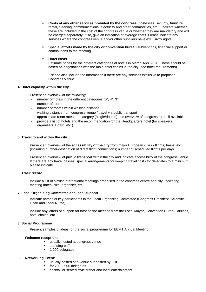- **Costs of any other services provided by the congress (hostesses, security, furniture** rental, cleaning, communications, electricity and other commodities, etc.). Indicate whether these are included in the cost of the congress venue or whether they are mandatory and will be charged separately. If so, give an indication of average costs. Please indicate any services where the congress venue and/or other suppliers have exclusivity rights.
- **Special efforts made by the city or convention bureau** subventions, financial support or contributions to the meeting
- **Hotel costs**

Estimate prices for the different categories of hotels in March-April 2026. These should be based on negotiations with the main hotel chains in the city (see hotel requirements).

\*Please also include the information if there are any services exclusive to proposed Congress Venue.

#### **4. Hotel capacity within the city**

Present an overview of the following:

- number of hotels in the different categories (5\*, 4\*, 3\*)
- number of rooms
- number of rooms within walking distance
- walking distance from congress venue / travel via public transport
- approximate room rates per category (single/double) and overview of congress rates, if available
- provide a list of hotels and the recommendation for the Headquarters hotel (for speakers, organisers, Board, etc.)

#### **5. Travel to and within the city**

Present an overview of the **accessibility of the city** from major European cities - flights, trains, etc. (including number/destination of direct flight connections; number of scheduled flights per day).

Present an overview of **public transport** within the city and indicate accessibility of the congress venue. If there are any travel passes, special arrangements for keeping travel costs for delegates to a minimum please indicate.

#### **6. Track record**

Include a list of similar international meetings organised in the congress centre and city, indicating meeting dates, size, organiser, etc.

#### **7. Local Organising Committee and local support**

Indicate names of key participants in the Local Organising Committee (Congress President, Scientific Chair and Local Nurse).

Include any letters of support for hosting the meeting from the Local Mayor, Convention Bureau, airlines, hotel chains, etc.

#### **8. Social Programme**

Present samples of ideas for the social programme for EBMT Annual Meeting:

#### - **Welcome reception:**

- usually hosted at congress venue
- standing buffet
- 1,200 delegates

#### - **Networking Event**:

- **EXECUTE:** usually hosted at a venue suggested by LOC
- for 700 900 delegates
- cocktail or seated style dinner and local entertainment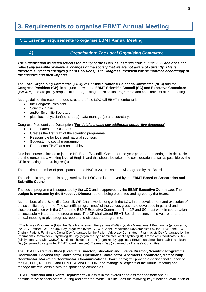## **3. Requirements to organise EBMT Annual Meeting**

### **3.1. Essential requirements to organise EBMT Annual Meeting**

#### *A) Organisation: The Local Organising Committee*

*The Organisation as stated reflects the reality of the EBMT as it stands now in June 2022 and does not reflect any possible or eventual changes of the society that we are not aware of currently. This is therefore subject to changes (Board Decisions). The Congress President will be informed accordingly of the changes and their impacts.*

The **Local Organising Committee (LOC),** will include a **National Scientific Committee (NSC)** and the **Congress President (CP)**, in conjunction with the **EBMT Scientific Council (SC) and Executive Committee (EXCOM)** and are jointly responsible for organising the scientific programme and speakers' list of the meeting.

As a guideline, the recommended structure of the LOC (all EBMT members) is:

- the Congress President
- Scientific Chair
- and/or Scientific Secretary,
- plus, local physician(s), nurse(s), data manager(s) and secretary.

Congress President Job Description (*For details please see additional supportive document*):

- Coordinates the LOC team
- Creates the first draft of the scientific programme
- Responsible for local and national sponsors
- Suggests the social programme
- Represents EBMT at a national level

One local nurse is invited to join the NG Board/Scientific Comm. for the year prior to the meeting. It is desirable that the nurse has a working level of English and this should be taken into consideration as far as possible by the CP in selecting the nursing rep(s).

The maximum number of participants on the NSC is 20, unless otherwise agreed by the Board.

The scientific programme is suggested by the **LOC** and is approved by the **EBMT Board of Association and Scientific Council**.

The social programme is suggested by the **LOC** and is approved by the **EBMT Executive Committee**. The **budget is overseen by the Executive Director**, before being presented and agreed by the Board.

As members of the Scientific Council, WP Chairs work along with the LOC in the development and execution of the scientific programme. The scientific programmes\* of the various groups are developed in parallel and in close consultation with the CP and the EBMT Executive Committee. The CP and SC must work in coordination to successfully integrate the programmes. The CP shall attend EBMT Board meetings in the year prior to the annual meeting to give progress reports and discuss the programme.

(\*The Nurses Programme (NG), the Data Management Programme (DMG), Quality Management Programme (produced by the JACIE office), Cell Therapy Day (organized by the CTIWP Chair), Paediatrics Day (organized by the PDWP and IEWP Chairs), Patient, Family and Donor Day (organized by the Patient Advocacy Committee), Pharmacists Day (organized by the Pharmacists Committee), Psychologists Day (organized by a nominated local psychologist), Transplant Coordinator's Day (jointly organized with WMDA), Multi-stakeholder's Forum (organized by appointed EBMT board member), Lab Technicians Day (organized by appointed EBMT board member), Trainee's Day (organized by Trainee's Committee).

The **EBMT Executive Office (Executive Director, Education and Events Director, Scientific Programme Coordinator, Sponsorship Coordinator, Operations Coordinator, Abstracts Coordinator, Membership Coordinator, Marketing Coordinator, Communications Coordinator)** will provide organisational support to the CP, LOC, NG, DMG and EBMT SC and EXCOM, and manage all aspects of the Annual Meeting and manage the relationship with the sponsoring companies.

**EBMT Education and Events Department** will assist in the overall congress management and all administrative aspects before, during and after the event. This includes the following key functions: evaluation of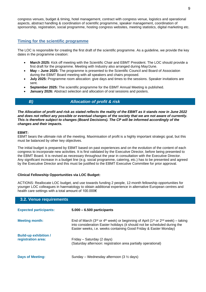congress venues, budget & timing, hotel management, contract with congress venue, logistics and operational aspects, abstract handling & coordination of scientific programme, speaker management, coordination of sponsorship, registration, social programme, hosting congress websites, meeting statistics, digital marketing etc.

### **Timing for the scientific programme**

The LOC is responsible for creating the first draft of the scientific programme. As a guideline, we provide the key dates in the programme creation:

- **March 2025:** Kick off meeting with the Scientific Chair and EBMT President. The LOC should provide a first draft for the programme. Meeting with Industry also arranged during May/June.
- **May – June 2025:** The programme is presented to the Scientific Council and Board of Association during the EBMT Board meeting with all speakers and chairs proposed.
- **July 2025:** Programme room allocation: give days and times to the sessions. Speaker invitations are sent.
- **September 2025:** The scientific programme for the EBMT Annual Meeting is published.
- **January 2026:** Abstract selection and allocation of oral sessions and posters.

### *B) Allocation of profit & risk*

*The Allocation of profit and risk as stated reflects the reality of the EBMT as it stands now in June 2022 and does not reflect any possible or eventual changes of the society that we are not aware of currently. This is therefore subject to changes (Board Decisions). The CP will be informed accordingly of the changes and their impacts.*

#### **EBMT:**

EBMT bears the ultimate risk of the meeting. Maximisation of profit is a highly important strategic goal, but this must be balanced by other key objectives.

The initial budget is prepared by EBMT based on past experiences and on the evolution of the content of each congress to incorporate new activities. It is first validated by the Executive Director, before being presented to the EBMT Board. It is revised as necessary throughout the year in consultation with the Executive Director. Any significant increase in a budget line (e.g. social programme, catering, etc.) has to be presented and agreed by the Executive Director and this must be justified to the EBMT Executive Committee for prior approval.

#### **Clinical Fellowship Opportunities via LOC Budget:**

ACTIONS: Reallocate LOC budget, and use towards funding 2 people, 12-month fellowship opportunities for younger LOC colleagues in haematology to obtain additional experience in alternative European centres and health care settings with a total amount of 100.000€

#### **3.2. Venue requirements**

| <b>Expected participants:</b>                      | $5.000 - 6.500$ participants                                                                                                                                                                                                                                                     |
|----------------------------------------------------|----------------------------------------------------------------------------------------------------------------------------------------------------------------------------------------------------------------------------------------------------------------------------------|
| <b>Meeting month:</b>                              | End of March (3 <sup>rd</sup> or 4 <sup>th</sup> week) or beginning of April (1 <sup>st</sup> or 2 <sup>nd</sup> week) – taking<br>into consideration Easter holidays (it should not be scheduled during the<br>Easter weeks, i.e. weeks containing Good Friday & Easter Monday) |
| <b>Build-up exhibition /</b><br>registration area: | Friday – Saturday (2 days)<br>(Saturday afternoon: registration area partially operational)                                                                                                                                                                                      |
| <b>Days of Meeting:</b>                            | Sunday – Wednesday afternoon $(3 \frac{1}{2} \text{ days})$                                                                                                                                                                                                                      |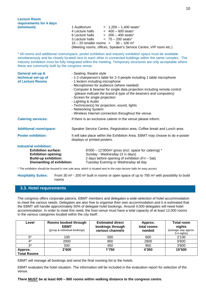| <b>Lecture Room</b><br>requirements for 4 days<br>(minimum):                                                                                                                                                                                                                                                                                                                                    | 1 Auditorium<br>$= 1,200 - 1,400$ seats*<br>$= 400 - 600$ seats*<br>4 Lecture halls<br>$= 200 - 400$ seats*<br>6 Lecture halls                                                                                                                                                                                                                                                                                                                                                                                           |  |
|-------------------------------------------------------------------------------------------------------------------------------------------------------------------------------------------------------------------------------------------------------------------------------------------------------------------------------------------------------------------------------------------------|--------------------------------------------------------------------------------------------------------------------------------------------------------------------------------------------------------------------------------------------------------------------------------------------------------------------------------------------------------------------------------------------------------------------------------------------------------------------------------------------------------------------------|--|
|                                                                                                                                                                                                                                                                                                                                                                                                 | $= 75 - 200$ seats*<br>3 Lecture halls<br>$15 - 20$ smaller rooms =<br>$30 - 100$ m <sup>2</sup><br>(Meeting rooms, offices, Speaker's Service Centre, VIP room etc.)                                                                                                                                                                                                                                                                                                                                                    |  |
| * All rooms and additional rooms/space, poster exhibition and industry exhibition space must be available<br>simultaneously and be closely located next to each other in connected buildings within the same complex. The<br>Industry exhibition must be fully integrated within the meeting. Temporary structures are only acceptable where<br>these are commonly built by the congress venue. |                                                                                                                                                                                                                                                                                                                                                                                                                                                                                                                          |  |
| General set-up &<br>technical set-up of<br>of Lecture Rooms                                                                                                                                                                                                                                                                                                                                     | - Seating: theatre style<br>- 1-2 chairperson's table for 2-3 people including 1 table microphone<br>- 1 lectern including microphone<br>- Microphones for audience (where needed)<br>- Computer & beamer for single data projection including remote control<br>(please indicate the brand & type of the beamers and computers)<br>- Screen for single projection<br>- Lighting & Audio<br>- Technician(s) for projection, sound, lights<br>- Networking System<br>- Wireless Internet connection throughout the venue. |  |
| <b>Catering services:</b>                                                                                                                                                                                                                                                                                                                                                                       | If there is an exclusive caterer in the venue please inform.                                                                                                                                                                                                                                                                                                                                                                                                                                                             |  |
| <b>Additional room/space:</b>                                                                                                                                                                                                                                                                                                                                                                   | Speaker Service Centre, Registration area, Coffee break and Lunch area                                                                                                                                                                                                                                                                                                                                                                                                                                                   |  |
| <b>Poster exhibition:</b>                                                                                                                                                                                                                                                                                                                                                                       | It will take place within the Exhibition Area. EBMT may choose to do e-poster<br>displays or printed posters.                                                                                                                                                                                                                                                                                                                                                                                                            |  |
| <b>Industrial exhibition:</b><br><b>Exhibition surface:</b><br><b>Exhibition opening:</b><br><b>Build-up exhibition:</b><br><b>Dismantling of exhibition:</b>                                                                                                                                                                                                                                   | $8'000 - 12'000m^2$ gross (incl. space for catering) *<br>Sunday - Wednesday (3 1/2 days)<br>2 days before opening of exhibition (Fri - Sat)<br>Tuesday Evening or Wednesday all day                                                                                                                                                                                                                                                                                                                                     |  |
| * The exhibition should be housed in one sole area, which is located next to the main lecture halls for easy access                                                                                                                                                                                                                                                                             |                                                                                                                                                                                                                                                                                                                                                                                                                                                                                                                          |  |

\* *The exhibition should be housed in one sole area, which is located next to the main lecture halls for easy access*

**Hospitality Suites:** From 30 m² - 200 m² built in rooms or open space of up to 700 m² with possibility to build rooms

### **3.3. Hotel requirements**

The congress offers corporate patrons, EBMT members and delegates a wide-selection of hotel accommodation to meet the various needs. Delegates are also free to organise their own accommodation and it is estimated that the EBMT will handle approximately 50% of delegate hotel bookings. Around 4,000 delegates will need hotel accommodation. In order to meet this need, the host venue must have a total capacity of at least 12,000 rooms in the various categories located within the city itself.

| Level                         | Rooms booked through<br><b>EBMT</b><br>(group & individual bookings) | <b>Estimated direct</b><br>bookings through<br>various channels | Approx.<br>total rooms<br>needed | <b>Total room</b><br>nights<br>(average stay approx.<br>3-4 nights) |
|-------------------------------|----------------------------------------------------------------------|-----------------------------------------------------------------|----------------------------------|---------------------------------------------------------------------|
| $5*$                          | 100                                                                  | 500                                                             | 600                              | 2'100                                                               |
| 4*                            | 2000                                                                 | 800                                                             | 2800                             | 9'800                                                               |
| $3^*$                         | 500                                                                  | 450                                                             | 950                              | 3'600                                                               |
| Approx.<br><b>Total Rooms</b> | 2'600                                                                | 1'750                                                           | 4'350                            | 15'500                                                              |

EBMT will manage all bookings and send the final rooming list to the hotels.

EBMT evaluates the hotel situation. The information will be included in the evaluation report for selection of the venue.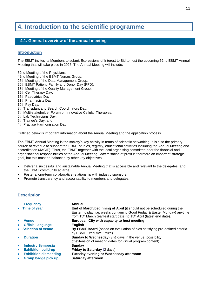## **4. Introduction to the scientific programme**

### **4.1. General overview of the annual meeting**

#### **Introduction**

The EBMT invites its Members to submit Expressions of Interest to Bid to host the upcoming 52nd EBMT Annual Meeting that will take place in 2026. The Annual Meeting will include:

52nd Meeting of the Physicians, 42nd Meeting of the EBMT Nurses Group, 25th Meeting of the Data Management Group, 20th EBMT Patient, Family and Donor Day (PFD), 18th Meeting of the Quality Management Group, 15th Cell Therapy Day, 15th Paediatrics Day, 11th Pharmacists Day, 10th Psy Day, 8th Transplant and Search Coordinators Day, 7th Multi-stakeholder Forum on Innovative Cellular Therapies, 6th Lab Technicians Day, 5th Trainee's Day, and 4th Practise Harmonisation Day

Outlined below is important information about the Annual Meeting and the application process.

The EBMT Annual Meeting is the society's key activity in terms of scientific networking. It is also the primary source of revenue to support the EBMT studies, registry, educational activities including the Annual Meeting and accreditation (JACIE). Thus, the EBMT together with the local organising committee bear the financial and organisational responsibilities of the Annual Meeting. Maximisation of profit is therefore an important strategic goal, but this must be balanced by other key objectives:

- Deliver a successful and sustainable Annual Meeting that is accessible and relevant to the delegates (and the EBMT community at large).
- Foster a long-term collaborative relationship with industry sponsors.
- Promote transparency and accountability to members and delegates.

#### **Description**

|           | <b>Frequency</b>              | Annual                                                                                                                                                                                                                                                 |
|-----------|-------------------------------|--------------------------------------------------------------------------------------------------------------------------------------------------------------------------------------------------------------------------------------------------------|
|           | • Time of year                | End of March/beginning of April (it should not be scheduled during the<br>Easter holiday, i.e. weeks containing Good Friday & Easter Monday) anytime<br>from 15 <sup>th</sup> March (earliest start date) to 15 <sup>th</sup> April (latest end date). |
| $\bullet$ | <b>Venue</b>                  | European City with capacity to host meeting                                                                                                                                                                                                            |
| $\bullet$ | <b>Official language</b>      | <b>English</b>                                                                                                                                                                                                                                         |
| $\bullet$ | <b>Selection of venue</b>     | <b>By EBMT Board</b> (based on evaluation of bids satisfying pre-defined criteria<br>by EBMT Executive Office)                                                                                                                                         |
| $\bullet$ | <b>Duration</b>               | <b>Sunday to Wednesday</b> (3 $\frac{1}{2}$ days in the venue; possibility<br>of extension of meeting dates for virtual program content)                                                                                                               |
| $\bullet$ | <b>Industry Symposia</b>      | Sunday                                                                                                                                                                                                                                                 |
| $\bullet$ | <b>Exhibition build-up</b>    | Friday to Saturday (2 days)                                                                                                                                                                                                                            |
| $\bullet$ | <b>Exhibition dismantling</b> | Tuesday evening or Wednesday afternoon                                                                                                                                                                                                                 |
| $\bullet$ | Group badge pick up           | Saturday afternoon                                                                                                                                                                                                                                     |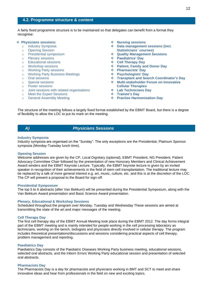#### **4.2. Programme structure & content**

A fairly fixed programme structure is to be maintained so that delegates can benefit from a format they recognise:

#### ❖ **Physicians sessions:**

- o Industry Symposia
- o Opening Session
- o Presidential symposium
- o Plenary sessions
- o Educational sessions
- o Workshop sessions
- o Working Party sessions
- o Working Party Business Meetings
- o Oral sessions
- o Special sessions
- o Poster sessions
- o Joint sessions with related organisations
- o Meet the Expert Sessions
- o General Assembly Meeting
- ❖ **Nursing sessions**
- ❖ **Data management sessions (incl. Statisticians´ courses)**
- ❖ **Quality Management Sessions**
- ❖ **Paediatrics' Day**
- ❖ **Cell Therapy Day**
- ❖ **Patient, Family and Donor Day**
- ❖ **Pharmacists' Day**
- ❖ **Psychologists' Day**
- ❖ **Transplant and Search Coordinator's Day**
- ❖ **Multi-stakeholder Forum on Innovative Cellular Therapies**
- ❖ **Lab Technicians Day**
- ❖ **Trainee's Day**
- ❖ **Practise Harmonisation Day**

The structure of the meeting follows a largely fixed format established by the EBMT Board, but there is a degree of flexibility to allow the LOC to put its mark on the meeting.

#### *A) Physicians Sessions*

#### **Industry Symposia**

Industry symposia are organised on the "Sunday". The only exceptions are the Presidential, Platinum Sponsor symposia (Monday-Tuesday lunch time).

#### **Opening Session**

Welcome addresses are given by the CP, Local Dignitary (optional), EBMT President, NG President, Patient Advocacy Committee Chair followed by the presentation of new Honorary Members and Clinical Achievement Award winders and the EBMT Keynote Lecture. Typically, the EBMT keynote lecture is given by an invited speaker in recognition of their achievements in the field of stem cell transplantation. The traditional lecture may be replaced by a talk of more general interest e.g. art, music, culture, etc. and this is at the discretion of the LOC. The CP will present a proposal to the Board for sign-off.

#### **Presidential Symposium**

The top 5 to 6 abstracts (after Van Bekkum) will be presented during the Presidential Symposium, along with the Van Bekkum Award presentation and Basic Science Award presentation.

#### **Plenary, Educational & Workshop Sessions**

Scheduled throughout the program over Monday, Tuesday and Wednesday These sessions are aimed at transmitting the state of the art and major messages of the meeting.

#### **Cell Therapy Day**

The first cell therapy day of the EBMT Annual Meeting took place during the EBMT 2012. The day forms integral part of the EBMT meeting and is mainly intended for people working in the cell processing laboratory as technicians, working on the bench, biologists and physicians directly involved in cellular therapy. The program includes theoretical presentations/discussions and sessions considering practical aspects of cell therapy, problem management and reporting.

#### **Paediatrics Day**

Paediatrics Day consists of the Paediatric Diseases Working Party business meeting, educational sessions, selected oral abstracts, and the Inborn Errors Working Party educational session and presentation of selected oral abstracts.

#### **Pharmacists Day**

The Pharmacists Day is a day for pharmacists and physicians working in BMT and SCT to meet and share innovative ideas and hear from professionals in the field on new and exciting topics.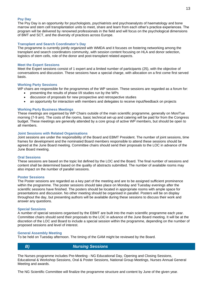#### **Psy Day**

The Psy Day is an opportunity for psychologists, psychiatrists and psychoanalysts of haematology and bone marrow and stem cell transplantation units to meet, share and learn from each other's practice experiences. The program will be delivered by renowned professionals in the field and will focus on the psychological dimensions of BMT and SCT, and the diversity of practices across Europe.

#### **Transplant and Search Coordinator's Day**

The programme is currently jointly organized with WMDA and it focuses on fostering networking among the transplant and search coordinators community, with session content focusing on HLA and donor selection, logistics of stem cells, role of the donor and post-transplant related aspects.

#### **Meet the Expert Sessions**

Meet the Expert sessions consist of 1 expert and a limited number of participants (25), with the objective of conversations and discussion. These sessions have a special charge, with allocation on a first come first served basis.

#### **Working Party Sessions**

WP chairs are responsible for the programmes of the WP session. These sessions are regarded as a forum for:

- presenting the results of phase I/II studies run by the WPs
- discussion of proposals for new prospective and retrospective studies
- an opportunity for interaction with members and delegates to receive input/feedback on projects

#### **Working Party Business Meetings**

These meetings are organised by WP Chairs outside of the main scientific programme, generally on Mon/Tue morning (7-9 am). The costs of the rooms, basic technical set-up and catering will be paid for from the Congress budget. These meetings are generally attended by a core group of active WP members, but should be open to all members.

#### **Joint Sessions with Related Organisations**

Joint sessions are under the responsibility of the Board and EBMT President. The number of joint sessions, time frames for development and the nominated Board members responsible to attend these sessions should be agreed at the June Board meeting. Committee chairs should send their proposals to the LOC in advance of the June Board meeting.

#### **Oral Sessions**

These sessions are based on the topic list defined by the LOC and the Board. The final number of sessions and content shall be determined based on the quality of abstracts submitted. The number of available rooms may also impact on the number of parallel sessions.

#### **Poster Sessions**

The Poster sessions are regarded as a key part of the meeting and are to be assigned sufficient prominence within the programme. The poster sessions should take place on Monday and Tuesday evenings after the scientific sessions have finished. The posters should be located in appropriate rooms with ample space for presentations and discussion. No other meeting should be organised in parallel. Posters will be on display throughout the day, but presenting authors will be available during these sessions to discuss their work and answer any questions.

#### **Special Sessions**

A number of special sessions organised by the EBMT are built into the main scientific programme each year. Committee chairs should send their proposals to the LOC in advance of the June Board meeting. It will be at the discretion of the LOC and Board to include a special session within the programme, depending on the number of proposed sessions and level of interest.

#### **General Assembly Meeting**

To be held on Tuesday afternoon. The timing of the GAM might be reviewed by the Board.

*B) Nursing Sessions*

The Nurses programme includes Pre-Meeting - NG Educational Day, Opening and Closing Sessions, Educational & Workshop Sessions, Oral & Poster Sessions, National Group Meetings, Nurses Annual General Meeting and awards.

The NG Scientific Committee will finalize the programme structure and content by June of the given year.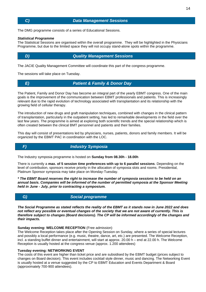The DMG programme consists of a series of Educational Sessions.

#### *Statistical Programme*

The Statistical Sessions are organised within the overall programme. They will be highlighted in the Physicians Programme, but due to the limited space they will not occupy stand-alone spots within the programme.

#### *D) Quality Management Sessions*

The JACIE Quality Management Committee will coordinate this part of the congress programme.

The sessions will take place on Tuesday.

#### *E) Patient & Family & Donor Day*

The Patient, Family and Donor Day has become an integral part of the yearly EBMT congress. One of the main goals is the improvement of the communication between EBMT professionals and patients. This is increasingly relevant due to the rapid evolution of technology associated with transplantation and its relationship with the growing field of cellular therapy.

The introduction of new drugs and graft manipulation techniques, combined with changes in the clinical pattern of transplantation, particularly in the outpatient setting, has led to remarkable developments in the field over the last few years. The programme is aimed at exploring both scientific trends and the special relationship which is often created between the clinical BMT personnel and patients and their families.

This day will consist of presentations led by physicians, nurses, patients, donors and family members. It will be organized by the EBMT PAC in coordination with the LOC.

#### *F) Industry Symposia*

The Industry symposia programme is hosted on **Sunday from 08.30h - 18.00h**

There is currently a **max. of 5 session time preferences with up to 6 parallel sessions**. Depending on the level of contribution, sponsors receive priority in the allocation of symposia slots and rooms. Presidential, Platinum Sponsor symposia may take place on Monday-Tuesday.

*\* The EBMT Board reserves the right to increase the number of symposia sessions to be held on an annual basis. Companies will be informed of the number of permitted symposia at the Sponsor Meeting held in June - July, prior to contracting a symposium.*



#### *G) Social programme*

*The Social Programme as stated reflects the reality of the EBMT as it stands now in June 2022 and does not reflect any possible or eventual changes of the society that we are not aware of currently. This is therefore subject to changes (Board decisions). The CP will be informed accordingly of the changes and their impacts.*

#### **Sunday evening: WELCOME RECEPTION** (Free admission)

The Welcome Reception takes place after the Opening Session on Sunday, where a series of special lectures and possibly a local performance (e.g. music, theatre, dance, art, etc.) are presented. The Welcome Reception, incl. a standing buffet dinner and entertainment, will start at approx. 20.00 h – end at 22.00 h. The Welcome Reception is usually hosted at the congress venue (approx. 1.200 attendees)

#### **Tuesday evening: NETWORKING EVENT**

The costs of this event are higher than ticket price and are subsidised by the EBMT budget (prices subject to changes on Board decision). This event includes cocktail style dinner, music and dancing. The Networking Event is usually hosted at a venue suggested by the CP to EBMT Education and Events Department & Board (approximately 700-900 attendees).